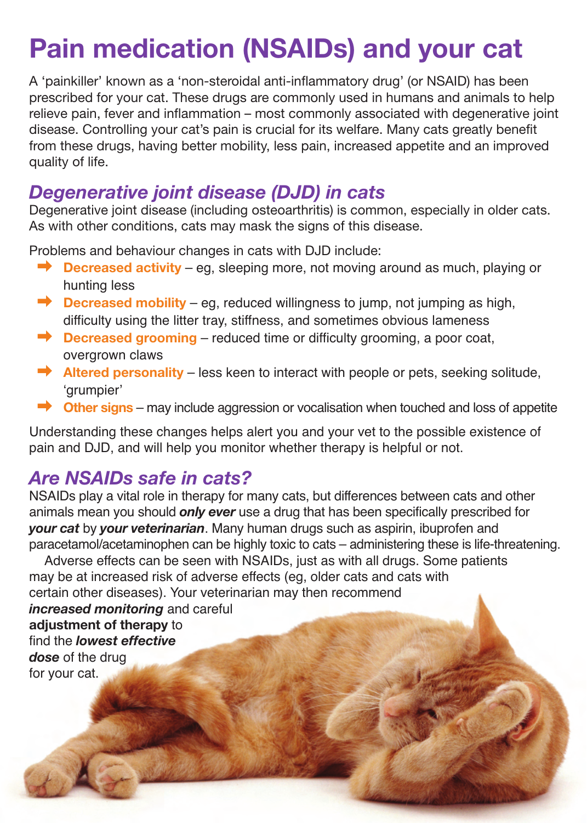# **Pain medication (NSAIDs) and your cat**

A 'painkiller' known as a 'non-steroidal anti-inflammatory drug' (or NSAID) has been prescribed for your cat. These drugs are commonly used in humans and animals to help relieve pain, fever and inflammation – most commonly associated with degenerative joint disease. Controlling your cat's pain is crucial for its welfare. Many cats greatly benefit from these drugs, having better mobility, less pain, increased appetite and an improved quality of life.

#### *Degenerative joint disease (DJD) in cats*

Degenerative joint disease (including osteoarthritis) is common, especially in older cats. As with other conditions, cats may mask the signs of this disease.

Problems and behaviour changes in cats with DJD include:

- ➡ **Decreased activity** eg, sleeping more, not moving around as much, playing or hunting less
- ➡ **Decreased mobility** eg, reduced willingness to jump, not jumping as high, difficulty using the litter tray, stiffness, and sometimes obvious lameness
- ➡ **Decreased grooming** reduced time or difficulty grooming, a poor coat, overgrown claws
- ➡ **Altered personality** less keen to interact with people or pets, seeking solitude, ʻgrumpier'
- ➡ **Other signs** may include aggression or vocalisation when touched and loss of appetite

Understanding these changes helps alert you and your vet to the possible existence of pain and DJD, and will help you monitor whether therapy is helpful or not.

## *Are NSAIDs safe in cats?*

NSAIDs play a vital role in therapy for many cats, but differences between cats and other animals mean you should *only ever* use a drug that has been specifically prescribed for *your cat* by *your veterinarian*. Many human drugs such as aspirin, ibuprofen and paracetamol/acetaminophen can be highly toxic to cats – administering these is life-threatening.

Adverse effects can be seen with NSAIDs, just as with all drugs. Some patients may be at increased risk of adverse effects (eg, older cats and cats with certain other diseases). Your veterinarian may then recommend *increased monitoring* and careful **adjustment of therapy** to find the *lowest effective dose* of the drug for your cat.